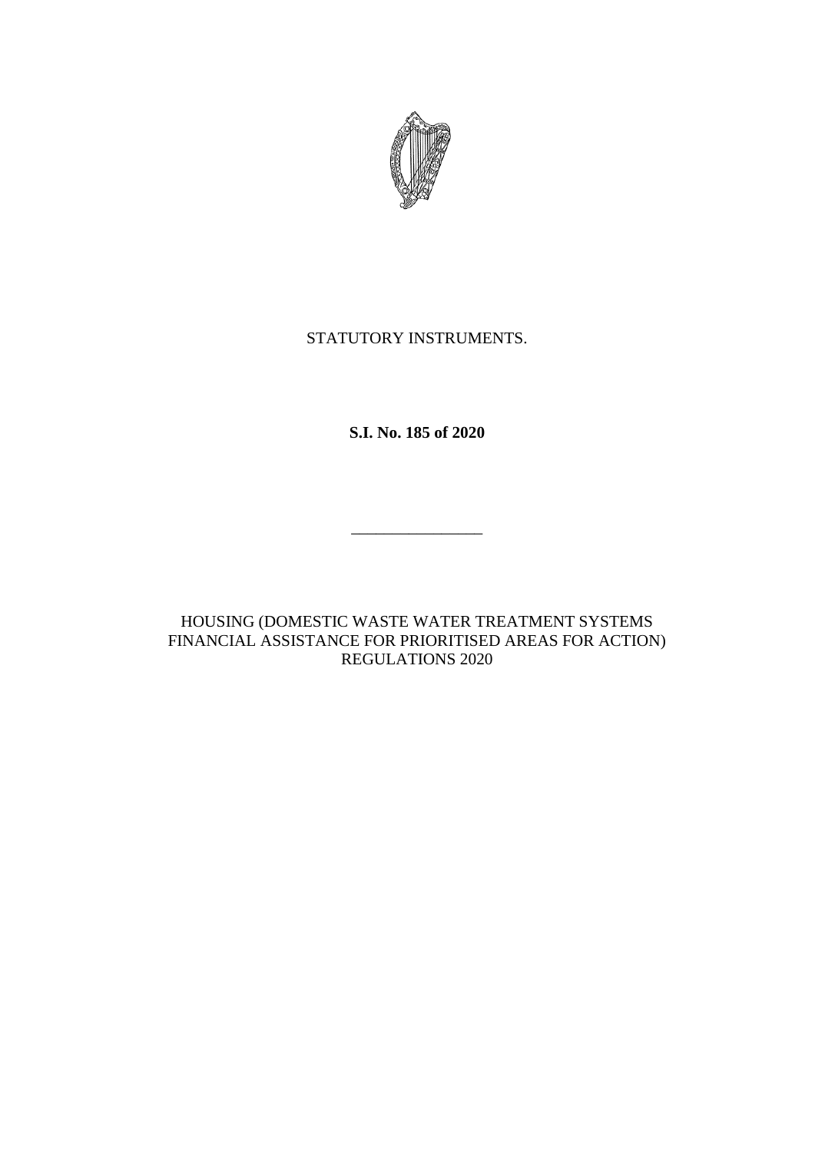

# STATUTORY INSTRUMENTS.

**S.I. No. 185 of 2020**

\_\_\_\_\_\_\_\_\_\_\_\_\_\_\_\_

HOUSING (DOMESTIC WASTE WATER TREATMENT SYSTEMS FINANCIAL ASSISTANCE FOR PRIORITISED AREAS FOR ACTION) REGULATIONS 2020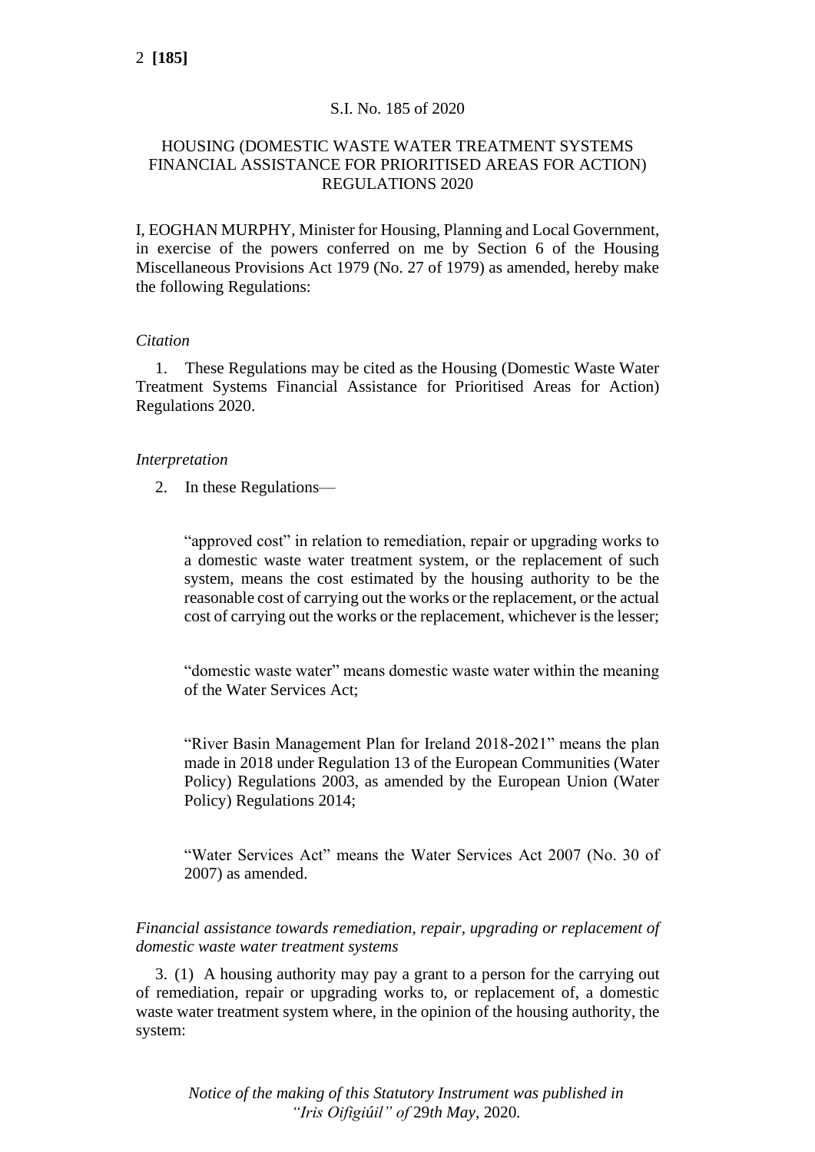# S.I. No. 185 of 2020

# HOUSING (DOMESTIC WASTE WATER TREATMENT SYSTEMS FINANCIAL ASSISTANCE FOR PRIORITISED AREAS FOR ACTION) REGULATIONS 2020

I, EOGHAN MURPHY, Minister for Housing, Planning and Local Government, in exercise of the powers conferred on me by Section 6 of the Housing Miscellaneous Provisions Act 1979 (No. 27 of 1979) as amended, hereby make the following Regulations:

## *Citation*

1. These Regulations may be cited as the Housing (Domestic Waste Water Treatment Systems Financial Assistance for Prioritised Areas for Action) Regulations 2020.

## *Interpretation*

2. In these Regulations—

"approved cost" in relation to remediation, repair or upgrading works to a domestic waste water treatment system, or the replacement of such system, means the cost estimated by the housing authority to be the reasonable cost of carrying out the works or the replacement, or the actual cost of carrying out the works or the replacement, whichever is the lesser;

"domestic waste water" means domestic waste water within the meaning of the Water Services Act;

"River Basin Management Plan for Ireland 2018-2021" means the plan made in 2018 under Regulation 13 of the European Communities (Water Policy) Regulations 2003, as amended by the European Union (Water Policy) Regulations 2014;

"Water Services Act" means the Water Services Act 2007 (No. 30 of 2007) as amended.

*Financial assistance towards remediation, repair, upgrading or replacement of domestic waste water treatment systems*

3. (1) A housing authority may pay a grant to a person for the carrying out of remediation, repair or upgrading works to, or replacement of, a domestic waste water treatment system where, in the opinion of the housing authority, the system:

*Notice of the making of this Statutory Instrument was published in "Iris Oifigiúil" of* 29*th May,* 2020*.*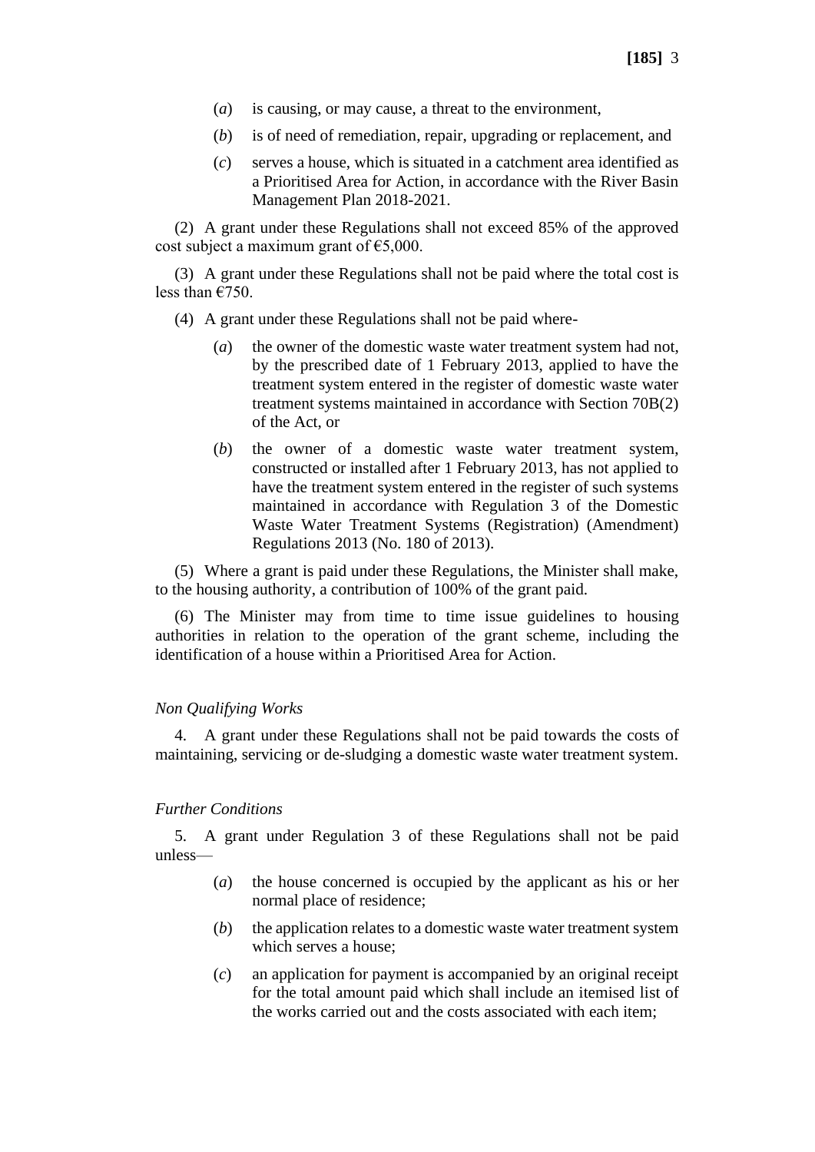- (*a*) is causing, or may cause, a threat to the environment,
- (*b*) is of need of remediation, repair, upgrading or replacement, and
- (*c*) serves a house, which is situated in a catchment area identified as a Prioritised Area for Action, in accordance with the River Basin Management Plan 2018-2021.

(2) A grant under these Regulations shall not exceed 85% of the approved cost subject a maximum grant of  $\epsilon$ 5,000.

(3) A grant under these Regulations shall not be paid where the total cost is less than €750.

- (4) A grant under these Regulations shall not be paid where-
	- (*a*) the owner of the domestic waste water treatment system had not, by the prescribed date of 1 February 2013, applied to have the treatment system entered in the register of domestic waste water treatment systems maintained in accordance with Section 70B(2) of the Act, or
	- (*b*) the owner of a domestic waste water treatment system, constructed or installed after 1 February 2013, has not applied to have the treatment system entered in the register of such systems maintained in accordance with Regulation 3 of the Domestic Waste Water Treatment Systems (Registration) (Amendment) Regulations 2013 (No. 180 of 2013).

(5) Where a grant is paid under these Regulations, the Minister shall make, to the housing authority, a contribution of 100% of the grant paid.

(6) The Minister may from time to time issue guidelines to housing authorities in relation to the operation of the grant scheme, including the identification of a house within a Prioritised Area for Action.

### *Non Qualifying Works*

4. A grant under these Regulations shall not be paid towards the costs of maintaining, servicing or de-sludging a domestic waste water treatment system.

### *Further Conditions*

5. A grant under Regulation 3 of these Regulations shall not be paid unless—

- (*a*) the house concerned is occupied by the applicant as his or her normal place of residence;
- (*b*) the application relates to a domestic waste water treatment system which serves a house;
- (*c*) an application for payment is accompanied by an original receipt for the total amount paid which shall include an itemised list of the works carried out and the costs associated with each item;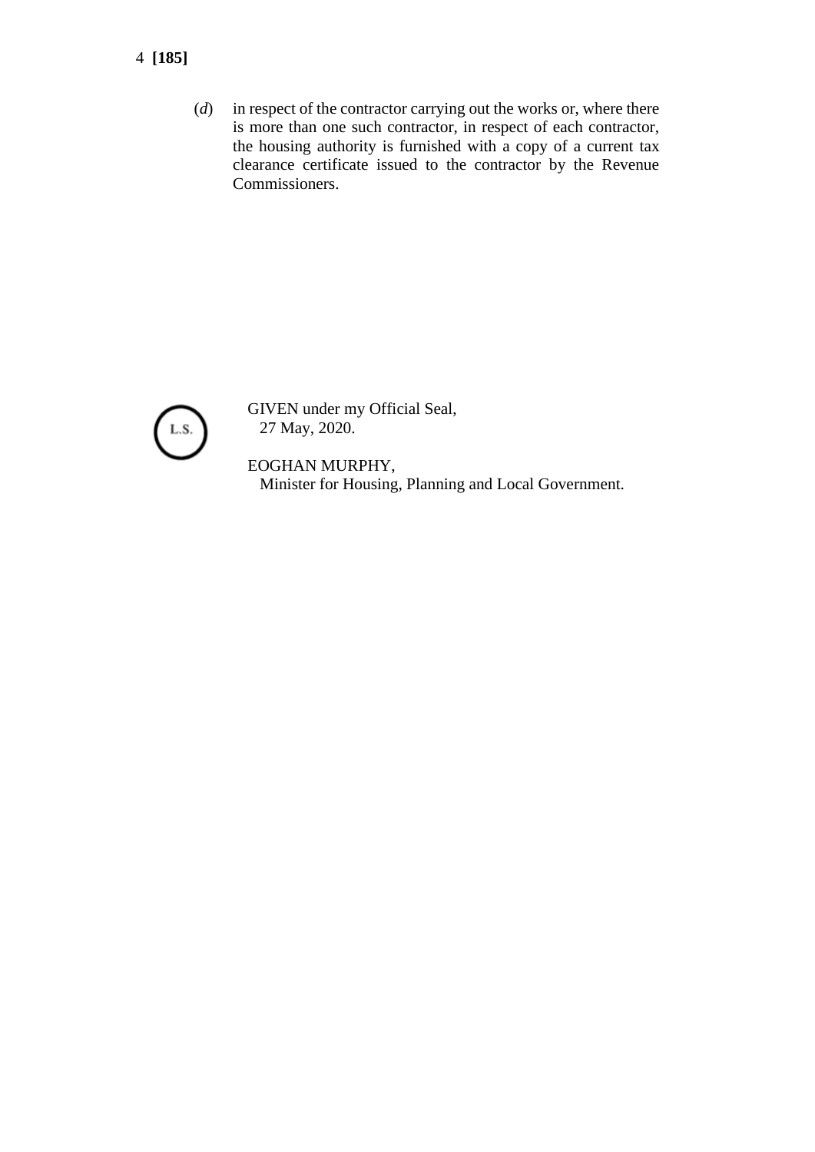- 4 **[185]**
	- (*d*) in respect of the contractor carrying out the works or, where there is more than one such contractor, in respect of each contractor, the housing authority is furnished with a copy of a current tax clearance certificate issued to the contractor by the Revenue Commissioners.



GIVEN under my Official Seal, 27 May, 2020.

EOGHAN MURPHY, Minister for Housing, Planning and Local Government.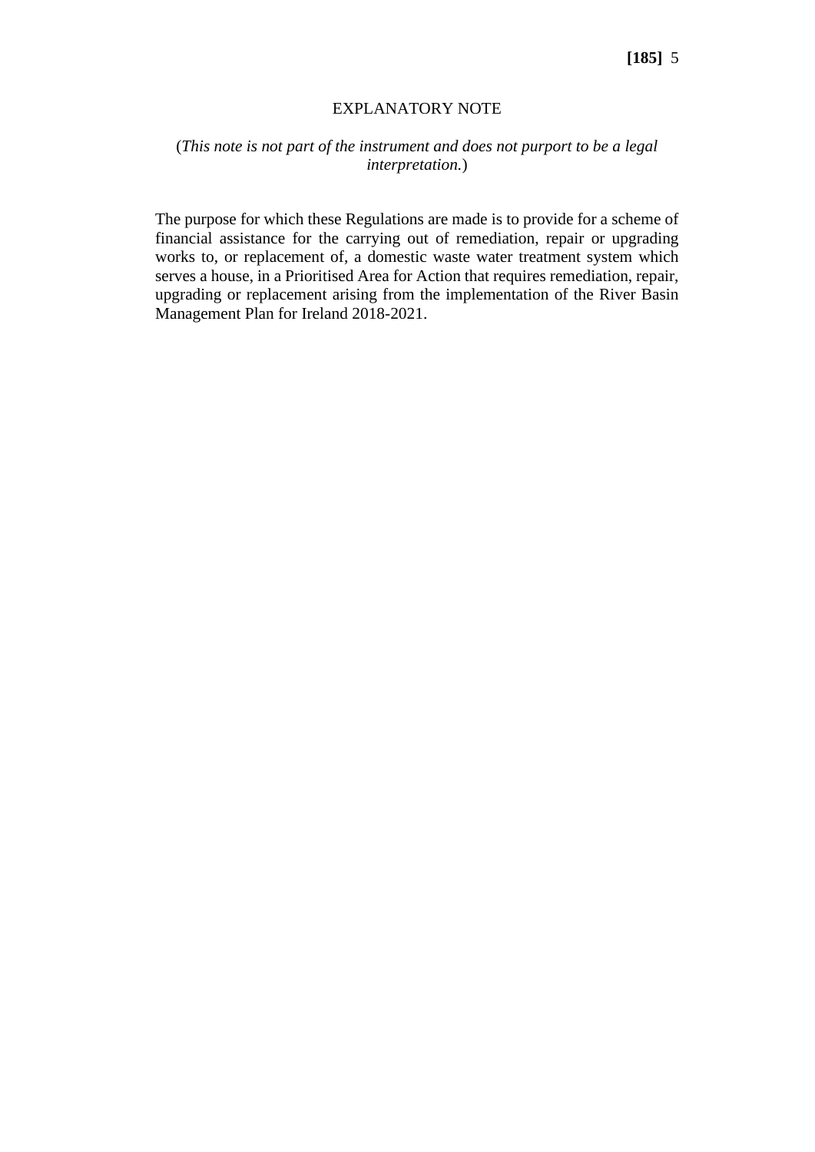#### EXPLANATORY NOTE

# (*This note is not part of the instrument and does not purport to be a legal interpretation.*)

The purpose for which these Regulations are made is to provide for a scheme of financial assistance for the carrying out of remediation, repair or upgrading works to, or replacement of, a domestic waste water treatment system which serves a house, in a Prioritised Area for Action that requires remediation, repair, upgrading or replacement arising from the implementation of the River Basin Management Plan for Ireland 2018-2021.